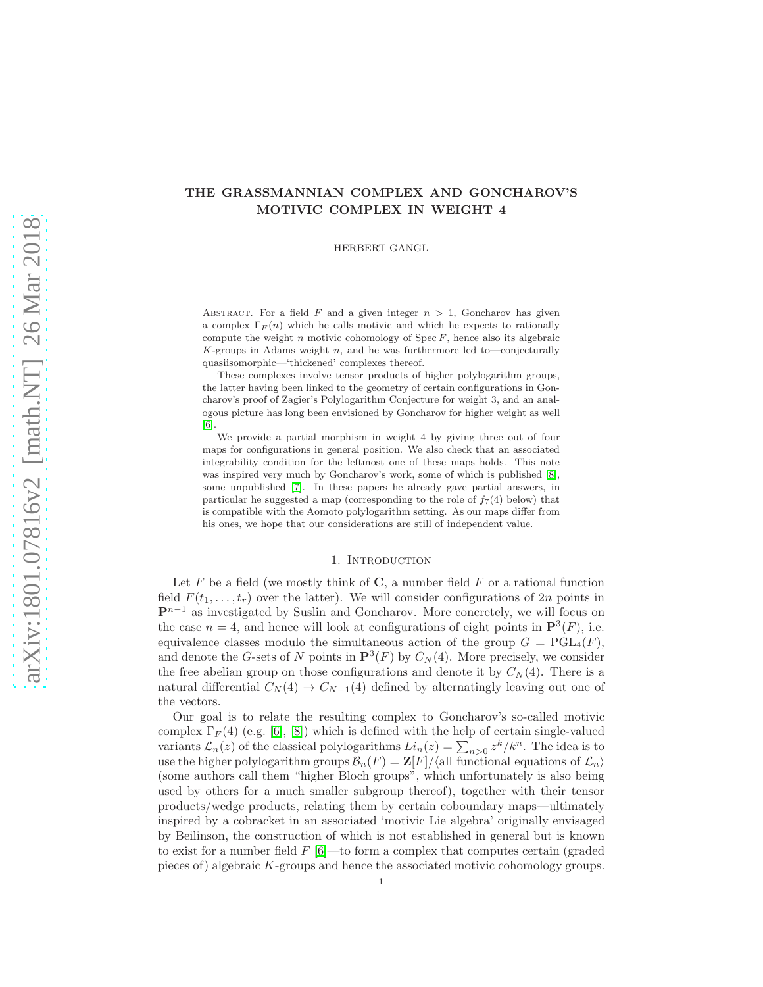# THE GRASSMANNIAN COMPLEX AND GONCHAROV'S MOTIVIC COMPLEX IN WEIGHT 4

HERBERT GANGL

ABSTRACT. For a field F and a given integer  $n > 1$ , Goncharov has given a complex  $\Gamma_F(n)$  which he calls motivic and which he expects to rationally compute the weight n motivic cohomology of  $Spec F$ , hence also its algebraic  $K$ -groups in Adams weight  $n$ , and he was furthermore led to—conjecturally quasiisomorphic—'thickened' complexes thereof.

These complexes involve tensor products of higher polylogarithm groups, the latter having been linked to the geometry of certain configurations in Goncharov's proof of Zagier's Polylogarithm Conjecture for weight 3, and an analogous picture has long been envisioned by Goncharov for higher weight as well [\[6\]](#page-17-0).

We provide a partial morphism in weight 4 by giving three out of four maps for configurations in general position. We also check that an associated integrability condition for the leftmost one of these maps holds. This note was inspired very much by Goncharov's work, some of which is published [\[8\]](#page-17-1), some unpublished [\[7\]](#page-17-2). In these papers he already gave partial answers, in particular he suggested a map (corresponding to the role of  $f_7(4)$  below) that is compatible with the Aomoto polylogarithm setting. As our maps differ from his ones, we hope that our considerations are still of independent value.

### 1. INTRODUCTION

Let  $F$  be a field (we mostly think of  $C$ , a number field  $F$  or a rational function field  $F(t_1, \ldots, t_r)$  over the latter). We will consider configurations of  $2n$  points in  $\mathbf{P}^{n-1}$  as investigated by Suslin and Goncharov. More concretely, we will focus on the case  $n = 4$ , and hence will look at configurations of eight points in  $\mathbf{P}^{3}(F)$ , i.e. equivalence classes modulo the simultaneous action of the group  $G = \text{PGL}_4(F)$ , and denote the G-sets of N points in  $\mathbf{P}^3(F)$  by  $C_N(4)$ . More precisely, we consider the free abelian group on those configurations and denote it by  $C_N(4)$ . There is a natural differential  $C_N(4) \rightarrow C_{N-1}(4)$  defined by alternatingly leaving out one of the vectors.

Our goal is to relate the resulting complex to Goncharov's so-called motivic complex  $\Gamma_F(4)$  (e.g. [\[6\]](#page-17-0), [\[8\]](#page-17-1)) which is defined with the help of certain single-valued variants  $\mathcal{L}_n(z)$  of the classical polylogarithms  $Li_n(z) = \sum_{n>0} z^k / k^n$ . The idea is to use the higher polylogarithm groups  $\mathcal{B}_n(F) = \mathbb{Z}[F]/\langle \text{all functional equations of } \mathcal{L}_n \rangle$ (some authors call them "higher Bloch groups", which unfortunately is also being used by others for a much smaller subgroup thereof), together with their tensor products/wedge products, relating them by certain coboundary maps—ultimately inspired by a cobracket in an associated 'motivic Lie algebra' originally envisaged by Beilinson, the construction of which is not established in general but is known to exist for a number field  $F(6)$ —to form a complex that computes certain (graded pieces of) algebraic K-groups and hence the associated motivic cohomology groups.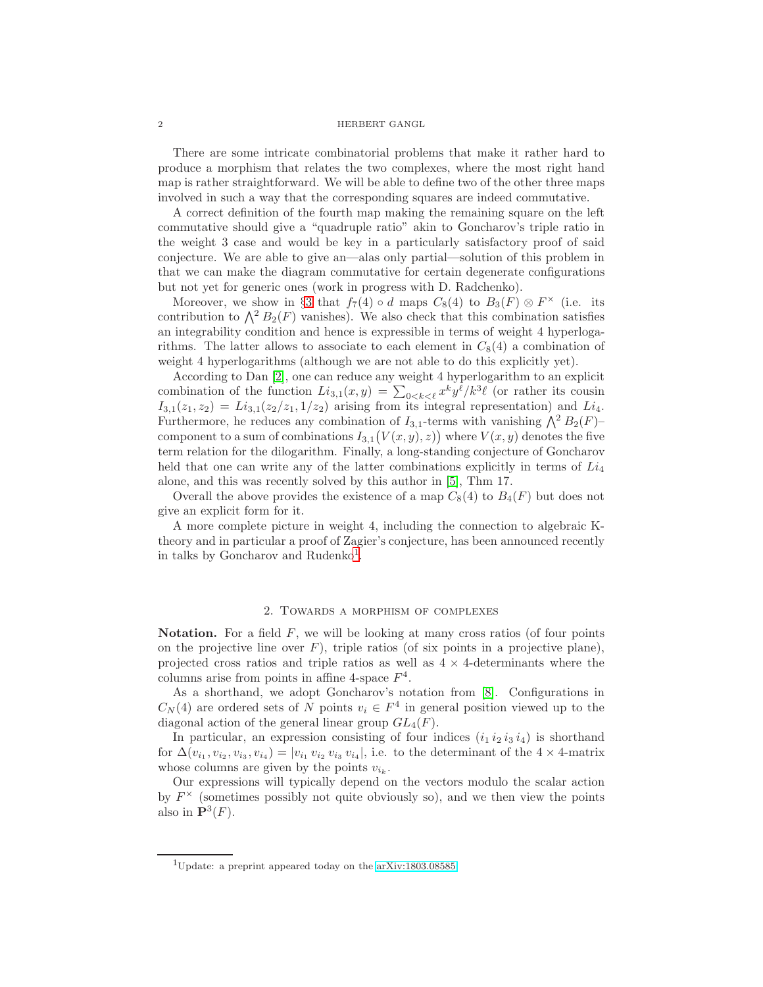There are some intricate combinatorial problems that make it rather hard to produce a morphism that relates the two complexes, where the most right hand map is rather straightforward. We will be able to define two of the other three maps involved in such a way that the corresponding squares are indeed commutative.

A correct definition of the fourth map making the remaining square on the left commutative should give a "quadruple ratio" akin to Goncharov's triple ratio in the weight 3 case and would be key in a particularly satisfactory proof of said conjecture. We are able to give an—alas only partial—solution of this problem in that we can make the diagram commutative for certain degenerate configurations but not yet for generic ones (work in progress with D. Radchenko).

Moreover, we show in §[3](#page-11-0) that  $f_7(4) \circ d$  maps  $C_8(4)$  to  $B_3(F) \otimes F^{\times}$  (i.e. its contribution to  $\Lambda^2 B_2(F)$  vanishes). We also check that this combination satisfies an integrability condition and hence is expressible in terms of weight 4 hyperlogarithms. The latter allows to associate to each element in  $C_8(4)$  a combination of weight 4 hyperlogarithms (although we are not able to do this explicitly yet).

According to Dan [\[2\]](#page-17-3), one can reduce any weight 4 hyperlogarithm to an explicit combination of the function  $Li_{3,1}(x,y) = \sum_{0 \le k \le \ell} x^k y^{\ell}/k^3 \ell$  (or rather its cousin  $I_{3,1}(z_1, z_2) = Li_{3,1}(z_2/z_1, 1/z_2)$  arising from its integral representation) and  $Li_4$ . Furthermore, he reduces any combination of  $I_{3,1}$ -terms with vanishing  $\bigwedge^2 B_2(F)$ component to a sum of combinations  $I_{3,1}(V(x,y),z)$  where  $V(x,y)$  denotes the five term relation for the dilogarithm. Finally, a long-standing conjecture of Goncharov held that one can write any of the latter combinations explicitly in terms of  $Li<sub>4</sub>$ alone, and this was recently solved by this author in [\[5\]](#page-17-4), Thm 17.

Overall the above provides the existence of a map  $C_8(4)$  to  $B_4(F)$  but does not give an explicit form for it.

A more complete picture in weight 4, including the connection to algebraic Ktheory and in particular a proof of Zagier's conjecture, has been announced recently in talks by Goncharov and Rudenko<sup>[1](#page-1-0)</sup>.

### 2. Towards a morphism of complexes

**Notation.** For a field  $F$ , we will be looking at many cross ratios (of four points on the projective line over  $F$ ), triple ratios (of six points in a projective plane), projected cross ratios and triple ratios as well as  $4 \times 4$ -determinants where the columns arise from points in affine 4-space  $F^4$ .

As a shorthand, we adopt Goncharov's notation from [\[8\]](#page-17-1). Configurations in  $C_N(4)$  are ordered sets of N points  $v_i \in F^4$  in general position viewed up to the diagonal action of the general linear group  $GL_4(F)$ .

In particular, an expression consisting of four indices  $(i_1 i_2 i_3 i_4)$  is shorthand for  $\Delta(v_{i_1}, v_{i_2}, v_{i_3}, v_{i_4}) = |v_{i_1} v_{i_2} v_{i_3} v_{i_4}|$ , i.e. to the determinant of the 4 × 4-matrix whose columns are given by the points  $v_{i_k}$ .

Our expressions will typically depend on the vectors modulo the scalar action by  $F^{\times}$  (sometimes possibly not quite obviously so), and we then view the points also in  $\mathbf{P}^3(F)$ .

<span id="page-1-0"></span><sup>1</sup>Update: a preprint appeared today on the [arXiv:1803.08585.](http://arxiv.org/abs/1803.08585)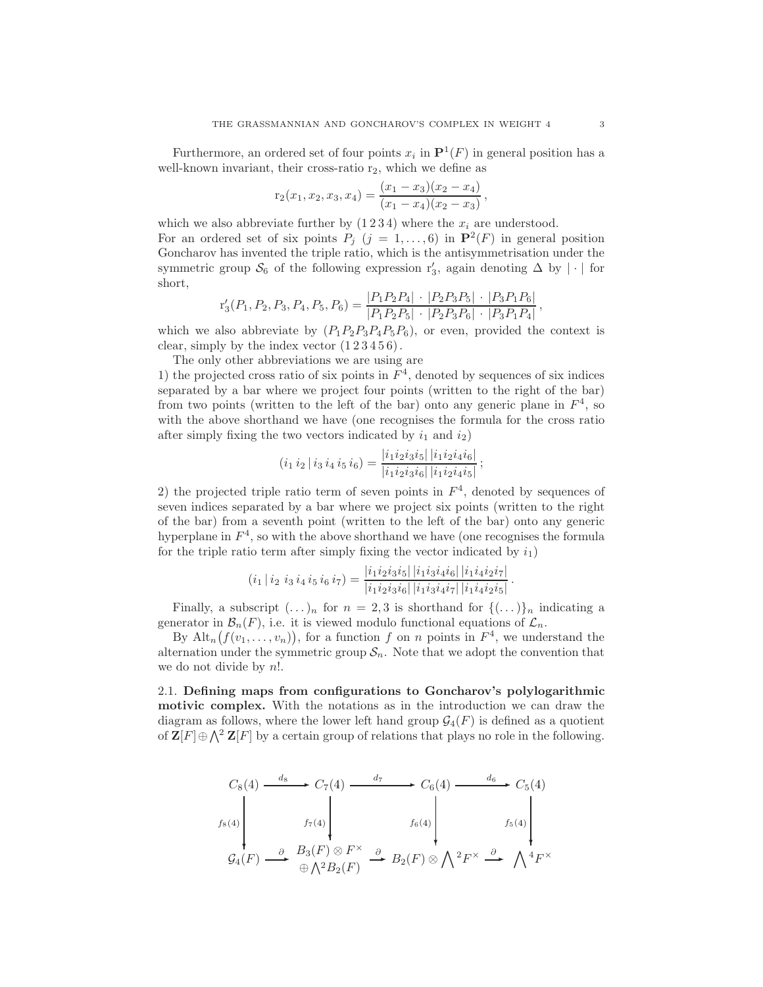Furthermore, an ordered set of four points  $x_i$  in  $\mathbf{P}^1(F)$  in general position has a well-known invariant, their cross-ratio  $r_2$ , which we define as

$$
r_2(x_1, x_2, x_3, x_4) = \frac{(x_1 - x_3)(x_2 - x_4)}{(x_1 - x_4)(x_2 - x_3)},
$$

which we also abbreviate further by  $(1\,2\,3\,4)$  where the  $x_i$  are understood. For an ordered set of six points  $P_j$   $(j = 1, ..., 6)$  in  $\mathbf{P}^2(F)$  in general position Goncharov has invented the triple ratio, which is the antisymmetrisation under the symmetric group  $\mathcal{S}_6$  of the following expression  $r'_3$ , again denoting  $\Delta$  by  $|\cdot|$  for short,

$$
r'_3(P_1, P_2, P_3, P_4, P_5, P_6) = \frac{|P_1 P_2 P_4| \cdot |P_2 P_3 P_5| \cdot |P_3 P_1 P_6|}{|P_1 P_2 P_5| \cdot |P_2 P_3 P_6| \cdot |P_3 P_1 P_4|},
$$

which we also abbreviate by  $(P_1P_2P_3P_4P_5P_6)$ , or even, provided the context is clear, simply by the index vector  $(1\,2\,3\,4\,5\,6)$ .

The only other abbreviations we are using are

1) the projected cross ratio of six points in  $F<sup>4</sup>$ , denoted by sequences of six indices separated by a bar where we project four points (written to the right of the bar) from two points (written to the left of the bar) onto any generic plane in  $F<sup>4</sup>$ , so with the above shorthand we have (one recognises the formula for the cross ratio after simply fixing the two vectors indicated by  $i_1$  and  $i_2$ )

$$
(i_1 i_2 | i_3 i_4 i_5 i_6) = \frac{|i_1 i_2 i_3 i_5| |i_1 i_2 i_4 i_6|}{|i_1 i_2 i_3 i_6| |i_1 i_2 i_4 i_5|};
$$

2) the projected triple ratio term of seven points in  $F<sup>4</sup>$ , denoted by sequences of seven indices separated by a bar where we project six points (written to the right of the bar) from a seventh point (written to the left of the bar) onto any generic hyperplane in  $F<sup>4</sup>$ , so with the above shorthand we have (one recognises the formula for the triple ratio term after simply fixing the vector indicated by  $i_1$ )

$$
(i_1 | i_2 i_3 i_4 i_5 i_6 i_7) = \frac{|i_1 i_2 i_3 i_5| |i_1 i_3 i_4 i_6| |i_1 i_4 i_2 i_7|}{|i_1 i_2 i_3 i_6| |i_1 i_3 i_4 i_7| |i_1 i_4 i_2 i_5|}.
$$

Finally, a subscript  $(\ldots)_n$  for  $n = 2, 3$  is shorthand for  $\{(\ldots)\}_n$  indicating a generator in  $\mathcal{B}_n(F)$ , i.e. it is viewed modulo functional equations of  $\mathcal{L}_n$ .

By  $\mathrm{Alt}_n(f(v_1,\ldots,v_n)),$  for a function f on n points in  $F^4$ , we understand the alternation under the symmetric group  $S_n$ . Note that we adopt the convention that we do not divide by n!.

<span id="page-2-0"></span>2.1. Defining maps from configurations to Goncharov's polylogarithmic motivic complex. With the notations as in the introduction we can draw the diagram as follows, where the lower left hand group  $\mathcal{G}_4(F)$  is defined as a quotient of  $\mathbf{Z}[F] \oplus \bigwedge^2 \mathbf{Z}[F]$  by a certain group of relations that plays no role in the following.

$$
C_8(4) \xrightarrow{d_8} C_7(4) \xrightarrow{d_7} C_6(4) \xrightarrow{d_6} C_5(4)
$$
  

$$
f_8(4) \xrightarrow{f_7(4)} f_7(4) \xrightarrow{f_6(4)} f_6(4) \xrightarrow{f_5(4)} f_5(4)
$$
  

$$
C_4(F) \xrightarrow{\partial} B_3(F) \otimes F^{\times} \xrightarrow{\partial} B_2(F) \otimes \bigwedge^2 F^{\times} \xrightarrow{\partial} \bigwedge^4 F^{\times}
$$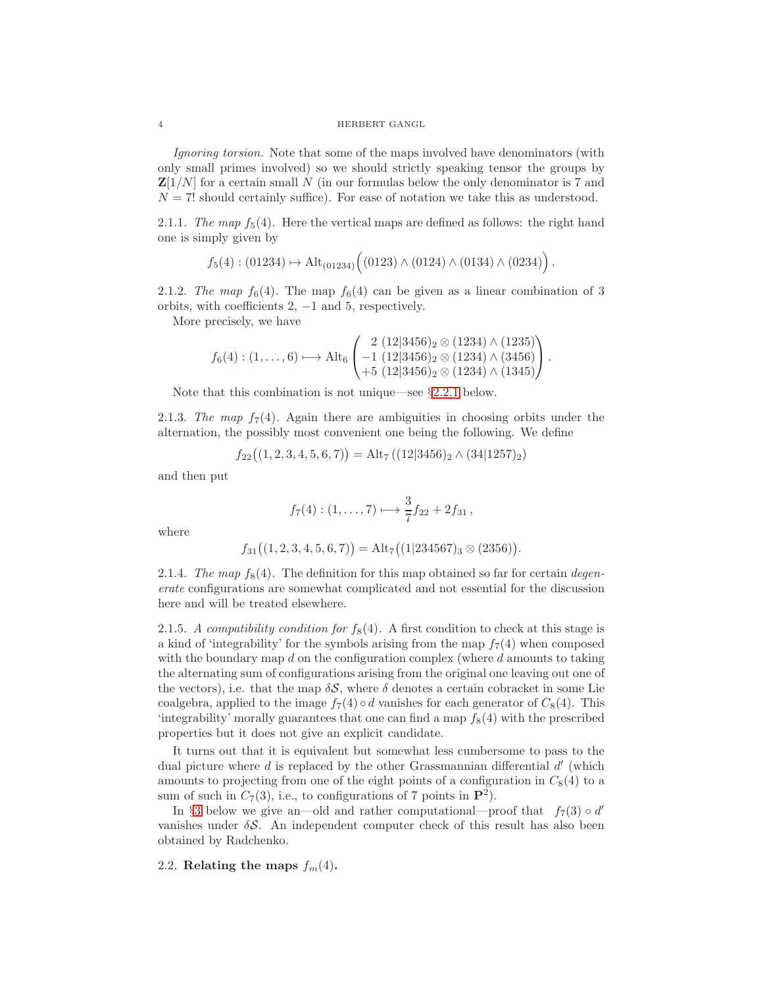Ignoring torsion. Note that some of the maps involved have denominators (with only small primes involved) so we should strictly speaking tensor the groups by  $\mathbf{Z}[1/N]$  for a certain small N (in our formulas below the only denominator is 7 and  $N = 7!$  should certainly suffice). For ease of notation we take this as understood.

2.1.1. The map  $f_5(4)$ . Here the vertical maps are defined as follows: the right hand one is simply given by

$$
f_5(4): (01234) \mapsto \mathrm{Alt}_{(01234)}((0123) \wedge (0124) \wedge (0134) \wedge (0234)).
$$

2.1.2. The map  $f_6(4)$ . The map  $f_6(4)$  can be given as a linear combination of 3 orbits, with coefficients  $2, -1$  and  $5$ , respectively.

More precisely, we have

$$
f_6(4): (1,\ldots,6) \longmapsto \mathrm{Alt}_6\begin{pmatrix} 2 \ (12|3456)_2 \otimes (1234) \wedge (1235) \\ -1 \ (12|3456)_2 \otimes (1234) \wedge (3456) \\ +5 \ (12|3456)_2 \otimes (1234) \wedge (1345) \end{pmatrix}.
$$

Note that this combination is not unique—see §[2.2.1](#page-4-0) below.

2.1.3. The map  $f_7(4)$ . Again there are ambiguities in choosing orbits under the alternation, the possibly most convenient one being the following. We define

$$
f_{22}((1, 2, 3, 4, 5, 6, 7)) = Alt_7((12|3456)_2 \wedge (34|1257)_2)
$$

and then put

$$
f_7(4): (1, ..., 7) \longrightarrow \frac{3}{7}f_{22} + 2f_{31},
$$

where

$$
f_{31}((1, 2, 3, 4, 5, 6, 7)) = Alt_7((1|234567)_3 \otimes (2356)).
$$

2.1.4. The map  $f_8(4)$ . The definition for this map obtained so far for certain degenerate configurations are somewhat complicated and not essential for the discussion here and will be treated elsewhere.

2.1.5. A compatibility condition for  $f_8(4)$ . A first condition to check at this stage is a kind of 'integrability' for the symbols arising from the map  $f_7(4)$  when composed with the boundary map  $d$  on the configuration complex (where  $d$  amounts to taking the alternating sum of configurations arising from the original one leaving out one of the vectors), i.e. that the map  $\delta S$ , where  $\delta$  denotes a certain cobracket in some Lie coalgebra, applied to the image  $f_7(4) \circ d$  vanishes for each generator of  $C_8(4)$ . This 'integrability' morally guarantees that one can find a map  $f_8(4)$  with the prescribed properties but it does not give an explicit candidate.

It turns out that it is equivalent but somewhat less cumbersome to pass to the dual picture where  $d$  is replaced by the other Grassmannian differential  $d'$  (which amounts to projecting from one of the eight points of a configuration in  $C_8(4)$  to a sum of such in  $C_7(3)$ , i.e., to configurations of 7 points in  $\mathbf{P}^2$ ).

In §[3](#page-11-0) below we give an—old and rather computational—proof that  $f_7(3) \circ d'$ vanishes under  $\delta S$ . An independent computer check of this result has also been obtained by Radchenko.

2.2. Relating the maps  $f_m(4)$ .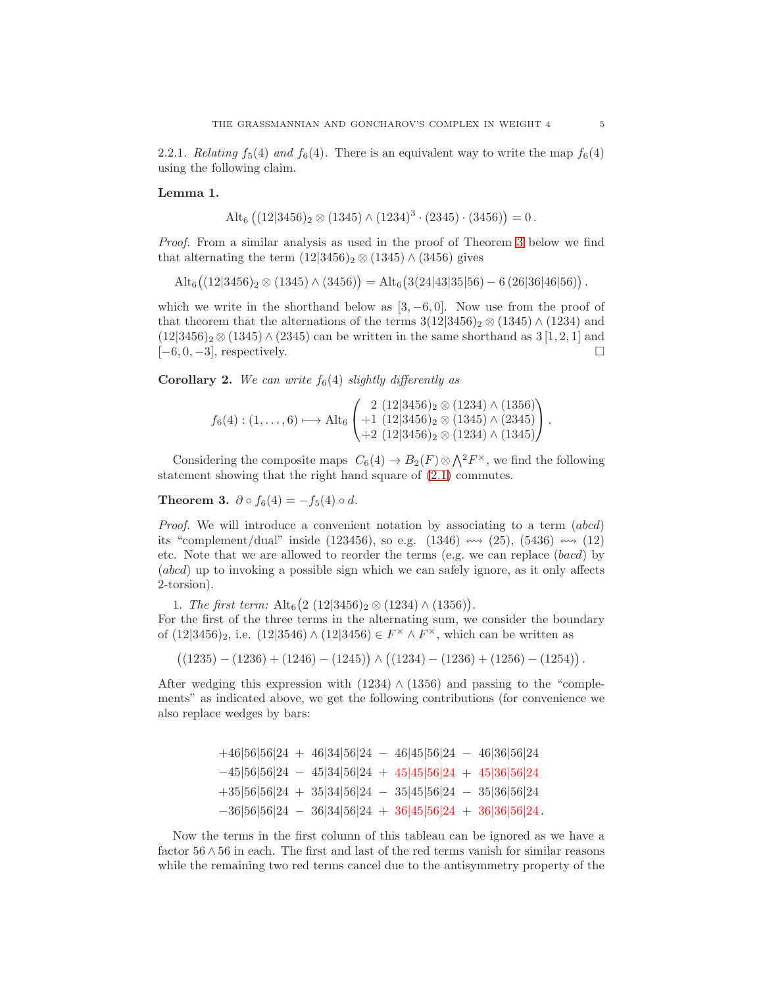<span id="page-4-0"></span>2.2.1. Relating  $f_5(4)$  and  $f_6(4)$ . There is an equivalent way to write the map  $f_6(4)$ using the following claim.

#### Lemma 1.

$$
Alt_6 ((12|3456)_2 \otimes (1345) \wedge (1234)^3 \cdot (2345) \cdot (3456)) = 0.
$$

Proof. From a similar analysis as used in the proof of Theorem [3](#page-4-1) below we find that alternating the term  $(12|3456)_2 \otimes (1345) \wedge (3456)$  gives

 $\mathrm{Alt}_6\big((12|3456)_2 \otimes (1345)\wedge (3456)\big) = \mathrm{Alt}_6\big(3(24|43|35|56) - 6\,(26|36|46|56)\big)\,.$ 

which we write in the shorthand below as  $[3, -6, 0]$ . Now use from the proof of that theorem that the alternations of the terms  $3(12|3456)_2 \otimes (1345) \wedge (1234)$  and  $(12|3456)_2 \otimes (1345) \wedge (2345)$  can be written in the same shorthand as  $3[1,2,1]$  and  $[-6, 0, -3]$ , respectively.

**Corollary 2.** We can write  $f_6(4)$  slightly differently as

$$
f_6(4): (1, \ldots, 6) \longmapsto \mathrm{Alt}_6\begin{pmatrix} 2 \ (12|3456)_2 \otimes (1234) \wedge (1356) \\ +1 \ (12|3456)_2 \otimes (1345) \wedge (2345) \\ +2 \ (12|3456)_2 \otimes (1234) \wedge (1345) \end{pmatrix}.
$$

Considering the composite maps  $C_6(4) \to B_2(F) \otimes \bigwedge^2 F^{\times}$ , we find the following statement showing that the right hand square of [\(2.1\)](#page-2-0) commutes.

<span id="page-4-1"></span>Theorem 3.  $\partial \circ f_6(4) = -f_5(4) \circ d$ .

Proof. We will introduce a convenient notation by associating to a term (abcd) its "complement/dual" inside (123456), so e.g. (1346)  $\cdots$  (25), (5436)  $\cdots$  (12) etc. Note that we are allowed to reorder the terms (e.g. we can replace (bacd) by (abcd) up to invoking a possible sign which we can safely ignore, as it only affects 2-torsion).

1. The first term:  $\text{Alt}_6(2 \ (12|3456)_2 \otimes (1234) \wedge (1356)).$ 

For the first of the three terms in the alternating sum, we consider the boundary of  $(12|3456)_2$ , i.e.  $(12|3546) \wedge (12|3456) \in F^{\times} \wedge F^{\times}$ , which can be written as

 $((1235) - (1236) + (1246) - (1245)) \wedge ((1234) - (1236) + (1256) - (1254)).$ 

After wedging this expression with  $(1234) \wedge (1356)$  and passing to the "complements" as indicated above, we get the following contributions (for convenience we also replace wedges by bars:

> +46|56|56|24 + 46|34|56|24 − 46|45|56|24 − 46|36|56|24 −45|56|56|24 − 45|34|56|24 + 45|45|56|24 + 45|36|56|24 +35|56|56|24 + 35|34|56|24 − 35|45|56|24 − 35|36|56|24  $-36|56|56|24 - 36|34|56|24 + 36|45|56|24 + 36|36|56|24$ .

Now the terms in the first column of this tableau can be ignored as we have a factor 56 ∧56 in each. The first and last of the red terms vanish for similar reasons while the remaining two red terms cancel due to the antisymmetry property of the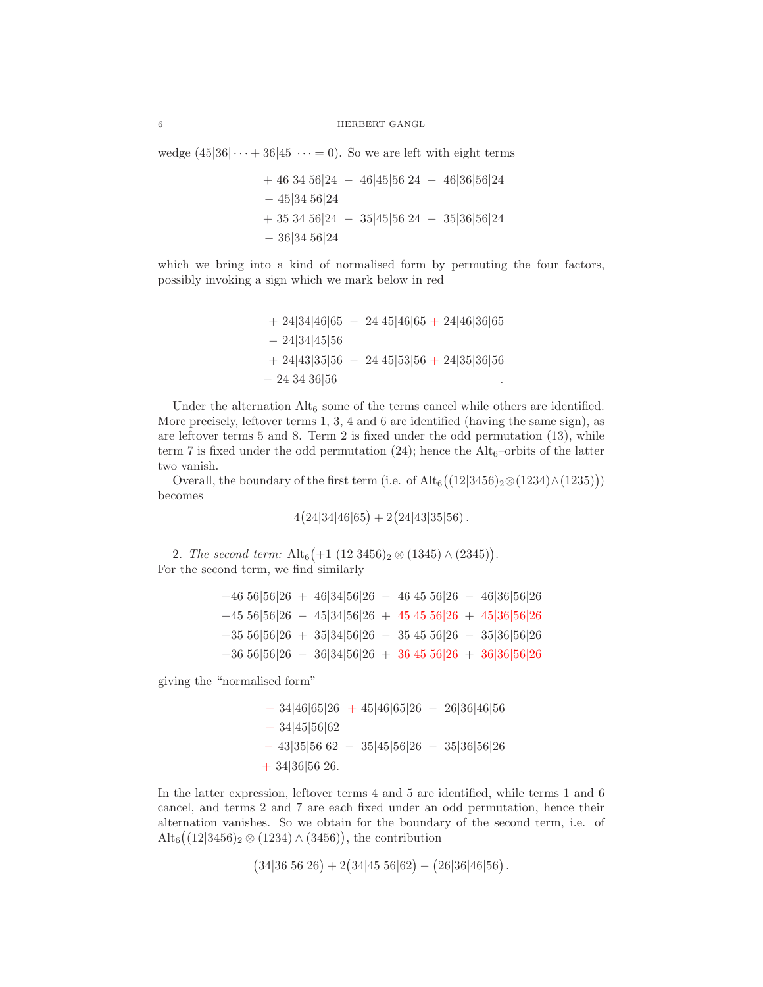wedge  $(45|36| \cdots + 36|45| \cdots = 0)$ . So we are left with eight terms

+ 46|34|56|24 − 46|45|56|24 − 46|36|56|24 − 45|34|56|24 + 35|34|56|24 − 35|45|56|24 − 35|36|56|24 − 36|34|56|24

which we bring into a kind of normalised form by permuting the four factors, possibly invoking a sign which we mark below in red

```
+ 24|34|46|65 − 24|45|46|65 + 24|46|36|65
− 24|34|45|56
+ 24|43|35|56 − 24|45|53|56 + 24|35|36|56
- 24|34|36|56
```
Under the alternation  $\mathrm{Alt}_6$  some of the terms cancel while others are identified. More precisely, leftover terms 1, 3, 4 and 6 are identified (having the same sign), as are leftover terms 5 and 8. Term 2 is fixed under the odd permutation (13), while term 7 is fixed under the odd permutation  $(24)$ ; hence the Alt<sub>6</sub>–orbits of the latter two vanish.

Overall, the boundary of the first term (i.e. of  $\text{Alt}_6((12|3456)_2 \otimes (1234) \wedge (1235)))$ becomes

$$
4(24|34|46|65) + 2(24|43|35|56).
$$

2. The second term:  $\text{Alt}_6\left(+1\ (12|3456)_2 \otimes (1345)\wedge (2345)\right)$ . For the second term, we find similarly

| $+46 56 56 26 + 46 34 56 26 - 46 45 56 26 - 46 36 56 26$ |  |  |  |
|----------------------------------------------------------|--|--|--|
| $-45 56 56 26 - 45 34 56 26 + 45 45 56 26 + 45 36 56 26$ |  |  |  |
| $+35 56 56 26 + 35 34 56 26 - 35 45 56 26 - 35 36 56 26$ |  |  |  |
| $-36 56 56 26 - 36 34 56 26 + 36 45 56 26 + 36 36 56 26$ |  |  |  |

giving the "normalised form"

 $- 34|46|65|26 + 45|46|65|26 - 26|36|46|56$ + 34|45|56|62 − 43|35|56|62 − 35|45|56|26 − 35|36|56|26 + 34|36|56|26.

In the latter expression, leftover terms 4 and 5 are identified, while terms 1 and 6 cancel, and terms 2 and 7 are each fixed under an odd permutation, hence their alternation vanishes. So we obtain for the boundary of the second term, i.e. of  $\mathrm{Alt}_6((12|3456)_2 \otimes (1234) \wedge (3456)),$  the contribution

 $(34|36|56|26) + 2(34|45|56|62) - (26|36|46|56).$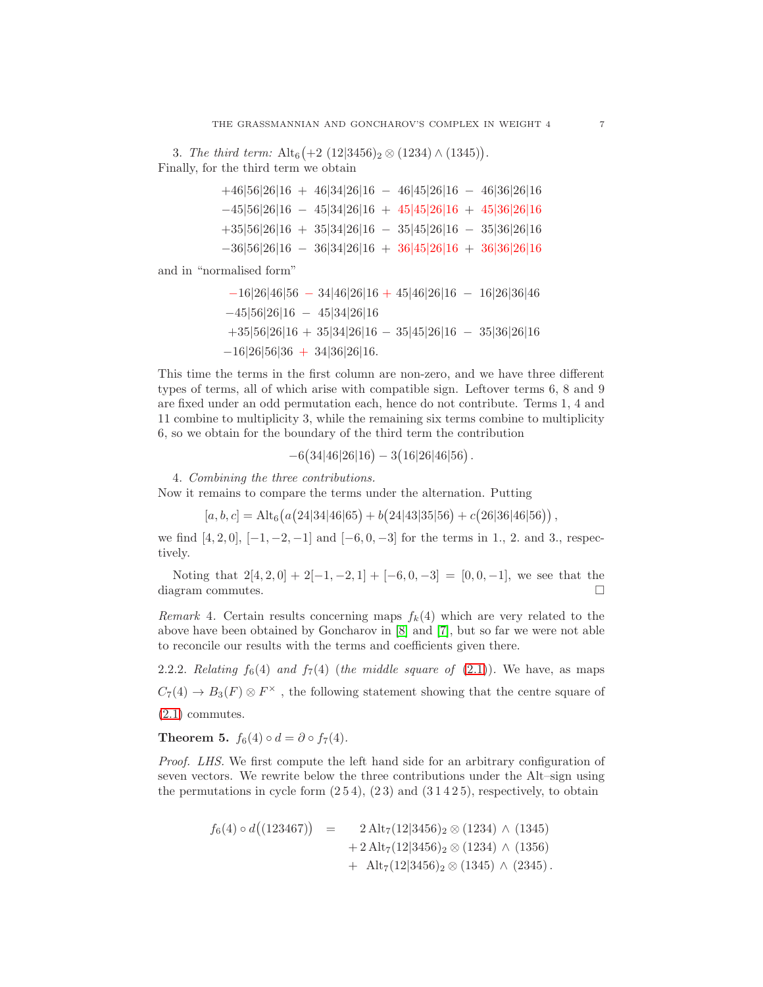3. The third term:  $\text{Alt}_6\left(+2\ (12|3456)_2 \otimes (1234)\wedge (1345)\right)$ . Finally, for the third term we obtain

| $+46 56 26 16 + 46 34 26 16 - 46 45 26 16 - 46 36 26 16$ |  |  |  |
|----------------------------------------------------------|--|--|--|
| $-45 56 26 16 - 45 34 26 16 + 45 45 26 16 + 45 36 26 16$ |  |  |  |
| $+35 56 26 16 + 35 34 26 16 - 35 45 26 16 - 35 36 26 16$ |  |  |  |
| $-36 56 26 16 - 36 34 26 16 + 36 45 26 16 + 36 36 26 16$ |  |  |  |

and in "normalised form"

$$
-16|26|46|56 - 34|46|26|16 + 45|46|26|16 - 16|26|36|46
$$
  
\n
$$
-45|56|26|16 - 45|34|26|16
$$
  
\n
$$
+35|56|26|16 + 35|34|26|16 - 35|45|26|16 - 35|36|26|16
$$
  
\n
$$
-16|26|56|36 + 34|36|26|16.
$$

This time the terms in the first column are non-zero, and we have three different types of terms, all of which arise with compatible sign. Leftover terms 6, 8 and 9 are fixed under an odd permutation each, hence do not contribute. Terms 1, 4 and 11 combine to multiplicity 3, while the remaining six terms combine to multiplicity 6, so we obtain for the boundary of the third term the contribution

 $-6(34|46|26|16) - 3(16|26|46|56).$ 

4. Combining the three contributions.

Now it remains to compare the terms under the alternation. Putting

$$
[a, b, c] = Alt_6(a(24|34|46|65) + b(24|43|35|56) + c(26|36|46|56)),
$$

we find  $[4, 2, 0]$ ,  $[-1, -2, -1]$  and  $[-6, 0, -3]$  for the terms in 1., 2. and 3., respectively.

Noting that  $2[4, 2, 0] + 2[-1, -2, 1] + [-6, 0, -3] = [0, 0, -1]$ , we see that the diagram commutes.

Remark 4. Certain results concerning maps  $f_k(4)$  which are very related to the above have been obtained by Goncharov in [\[8\]](#page-17-1) and [\[7\]](#page-17-2), but so far we were not able to reconcile our results with the terms and coefficients given there.

2.2.2. Relating  $f_6(4)$  and  $f_7(4)$  (the middle square of [\(2.1\)](#page-2-0)). We have, as maps  $C_7(4) \rightarrow B_3(F) \otimes F^{\times}$ , the following statement showing that the centre square of [\(2.1\)](#page-2-0) commutes.

Theorem 5.  $f_6(4) \circ d = \partial \circ f_7(4)$ .

Proof. LHS. We first compute the left hand side for an arbitrary configuration of seven vectors. We rewrite below the three contributions under the Alt–sign using the permutations in cycle form  $(2\,5\,4)$ ,  $(2\,3)$  and  $(3\,1\,4\,2\,5)$ , respectively, to obtain

$$
f_6(4) \circ d((123467)) = 2 Alt_7(12|3456)_2 \otimes (1234) \wedge (1345) + 2 Alt_7(12|3456)_2 \otimes (1234) \wedge (1356) + Alt_7(12|3456)_2 \otimes (1345) \wedge (2345).
$$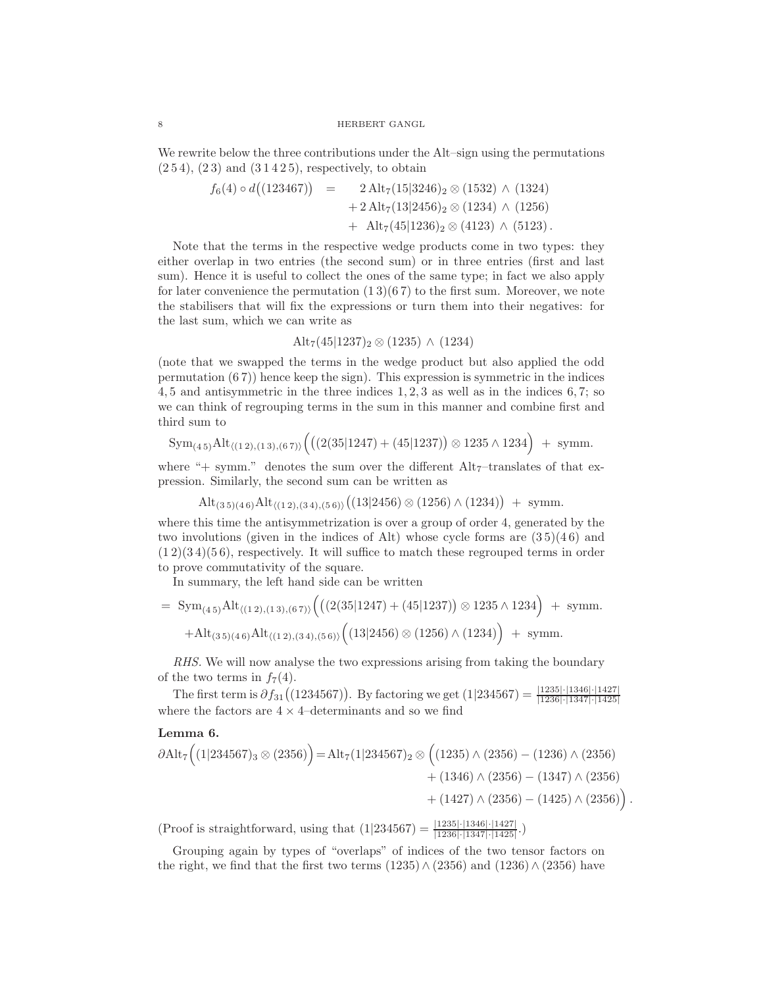We rewrite below the three contributions under the Alt–sign using the permutations  $(254)$ ,  $(23)$  and  $(31425)$ , respectively, to obtain

$$
f_6(4) \circ d((123467)) = 2 \text{ Alt}_{7}(15|3246)_{2} \otimes (1532) \wedge (1324) + 2 \text{ Alt}_{7}(13|2456)_{2} \otimes (1234) \wedge (1256) + \text{ Alt}_{7}(45|1236)_{2} \otimes (4123) \wedge (5123).
$$

Note that the terms in the respective wedge products come in two types: they either overlap in two entries (the second sum) or in three entries (first and last sum). Hence it is useful to collect the ones of the same type; in fact we also apply for later convenience the permutation  $(13)(67)$  to the first sum. Moreover, we note the stabilisers that will fix the expressions or turn them into their negatives: for the last sum, which we can write as

$$
Alt_7(45|1237)_2 \otimes (1235) \wedge (1234)
$$

(note that we swapped the terms in the wedge product but also applied the odd permutation  $(67)$  hence keep the sign). This expression is symmetric in the indices 4, 5 and antisymmetric in the three indices 1, 2, 3 as well as in the indices 6, 7; so we can think of regrouping terms in the sum in this manner and combine first and third sum to

$$
\mathrm{Sym}_{(4\,5)}\mathrm{Alt}_{\langle (1\,2),(1\,3),(6\,7)\rangle}\Big(\big((2(35|1247)+(45|1237)\big)\otimes1235\wedge1234\Big) \; +\;\text{symm.}
$$

where "+ symm." denotes the sum over the different  $\text{Alt}_7$ -translates of that expression. Similarly, the second sum can be written as

$$
Alt_{(3\,5)(4\,6)} Alt_{\langle (1\,2),(3\,4),(5\,6)\rangle} \big( (13|2456) \otimes (1256) \wedge (1234) \big) + \text{symm.}
$$

where this time the antisymmetrization is over a group of order 4, generated by the two involutions (given in the indices of Alt) whose cycle forms are  $(35)(46)$  and  $(1\,2)(3\,4)(5\,6)$ , respectively. It will suffice to match these regrouped terms in order to prove commutativity of the square.

In summary, the left hand side can be written

= 
$$
\text{Sym}_{(4\,5)}\text{Alt}_{\langle (1\,2),(1\,3),(6\,7)\rangle}\Big(\big((2(35|1247)+(45|1237))\otimes 1235\wedge 1234\big)+\text{symm.}
$$
  
+  $\text{Alt}_{(3\,5)(4\,6)}\text{Alt}_{\langle (1\,2),(3\,4),(5\,6)\rangle}\Big(\big(13|2456\big)\otimes (1256)\wedge (1234)\Big)+\text{symm.}$ 

RHS. We will now analyse the two expressions arising from taking the boundary of the two terms in  $f_7(4)$ .

The first term is  $\partial f_{31}((1234567))$ . By factoring we get  $(1|234567) = \frac{|1235| \cdot |1346| \cdot |1427|}{|1236| \cdot |1347| \cdot |1425|}$ where the factors are  $4 \times 4$ –determinants and so we find

## Lemma 6.

$$
\partial \text{Alt}_7 \Big( (1|234567)_3 \otimes (2356) \Big) = \text{Alt}_7 (1|234567)_2 \otimes \Big( (1235) \wedge (2356) - (1236) \wedge (2356) + (1346) \wedge (2356) - (1347) \wedge (2356) + (1427) \wedge (2356) - (1425) \wedge (2356) \Big).
$$

(Proof is straightforward, using that  $(1|234567) = \frac{|1235|\cdot|1346|\cdot|1427|}{|1236|\cdot|1347|\cdot|1425|}$ .)

Grouping again by types of "overlaps" of indices of the two tensor factors on the right, we find that the first two terms (1235)∧ (2356) and (1236)∧ (2356) have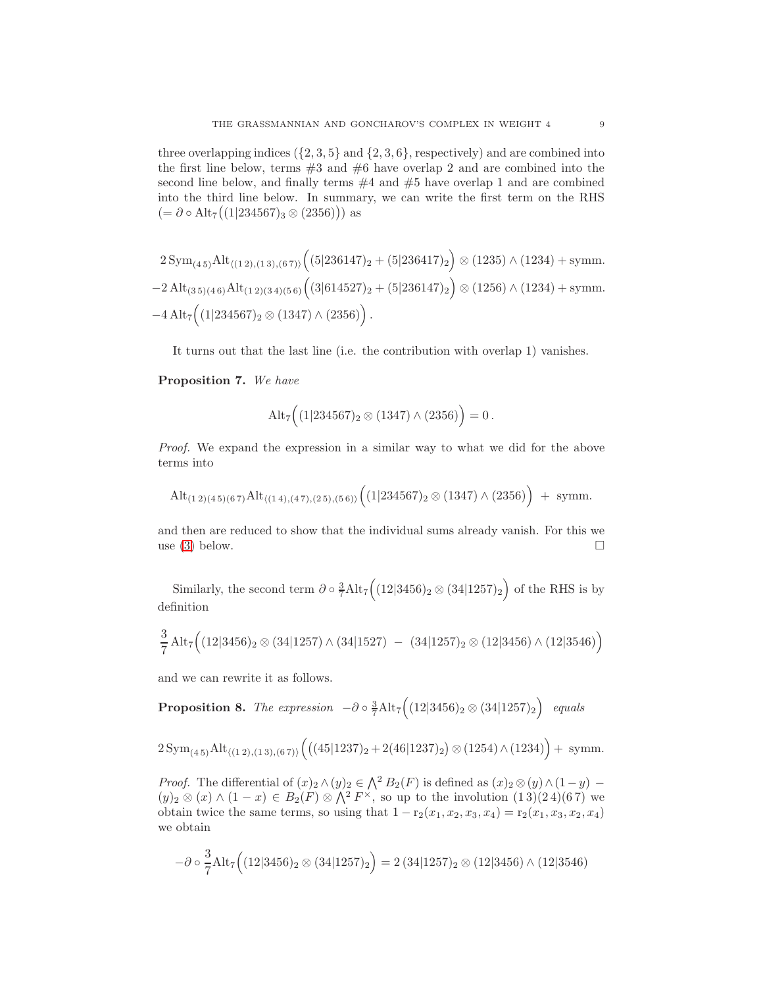three overlapping indices  $({2, 3, 5} \text{ and } {2, 3, 6}$ , respectively) and are combined into the first line below, terms  $#3$  and  $#6$  have overlap 2 and are combined into the second line below, and finally terms  $#4$  and  $#5$  have overlap 1 and are combined into the third line below. In summary, we can write the first term on the RHS  $(=\partial \circ Alt_7((1|234567)_3 \otimes (2356)))$  as

$$
2\,\mathrm{Sym}_{(4\,5)}\mathrm{Alt}_{\langle(1\,2),(1\,3),(6\,7)\rangle}\Big((5|236147)_2+(5|236417)_2\Big)\otimes(1235)\wedge(1234)+\mathrm{symm}.
$$
  

$$
-2\,\mathrm{Alt}_{(3\,5)(4\,6)}\mathrm{Alt}_{(1\,2)(3\,4)(5\,6)}\Big((3|614527)_2+(5|236147)_2\Big)\otimes(1256)\wedge(1234)+\mathrm{symm}.
$$
  

$$
-4\,\mathrm{Alt}_7\Big((1|234567)_2\otimes(1347)\wedge(2356)\Big).
$$

It turns out that the last line (i.e. the contribution with overlap 1) vanishes.

Proposition 7. We have

$$
\mathrm{Alt}_7\Big((1|234567)_2 \otimes (1347)\wedge (2356)\Big) = 0.
$$

Proof. We expand the expression in a similar way to what we did for the above terms into

$$
\mathrm{Alt}_{(1\ 2)(4\ 5)(6\ 7)}\mathrm{Alt}_{\langle (1\ 4),(4\ 7),(2\ 5),(5\ 6)\rangle}\Big((1|234567)_2 \otimes (1347)\wedge (2356)\Big) + \text{ symm.}
$$

and then are reduced to show that the individual sums already vanish. For this we use [\(3\)](#page-15-0) below.

Similarly, the second term  $\partial \circ \frac{3}{7} \text{Alt}_7 \Big( (12|3456)_2 \otimes (34|1257)_2 \Big)$  of the RHS is by definition

$$
\frac{3}{7} \text{Alt}_7 \Big( (12|3456)_2 \otimes (34|1257) \wedge (34|1527) - (34|1257)_2 \otimes (12|3456) \wedge (12|3546) \Big)
$$

and we can rewrite it as follows.

Proposition 8. The expression  $-\partial \circ \frac{3}{7} \text{Alt}_7 \Big( (12|3456)_2 \otimes (34|1257)_2 \Big)$  equals

$$
2\,\mathrm{Sym}_{(4\,5)}\mathrm{Alt}_{\langle(1\,2),(1\,3),(6\,7)\rangle}\Big(\big((45|1237)_2+2(46|1237)_2\big)\otimes(1254)\wedge(1234)\Big)+\text{ symm}.
$$

*Proof.* The differential of  $(x)_2 \wedge (y)_2 \in \bigwedge^2 B_2(F)$  is defined as  $(x)_2 \otimes (y) \wedge (1-y)$  $(y)_2 \otimes (x) \wedge (1-x) \in B_2(F) \otimes \bigwedge^2 F^{\times}$ , so up to the involution  $(1\,3)(2\,4)(6\,7)$  we obtain twice the same terms, so using that  $1 - r_2(x_1, x_2, x_3, x_4) = r_2(x_1, x_3, x_2, x_4)$ we obtain

$$
-\partial \circ \frac{3}{7} \text{Alt}_7 \Big( (12|3456)_2 \otimes (34|1257)_2 \Big) = 2 (34|1257)_2 \otimes (12|3456) \wedge (12|3546)
$$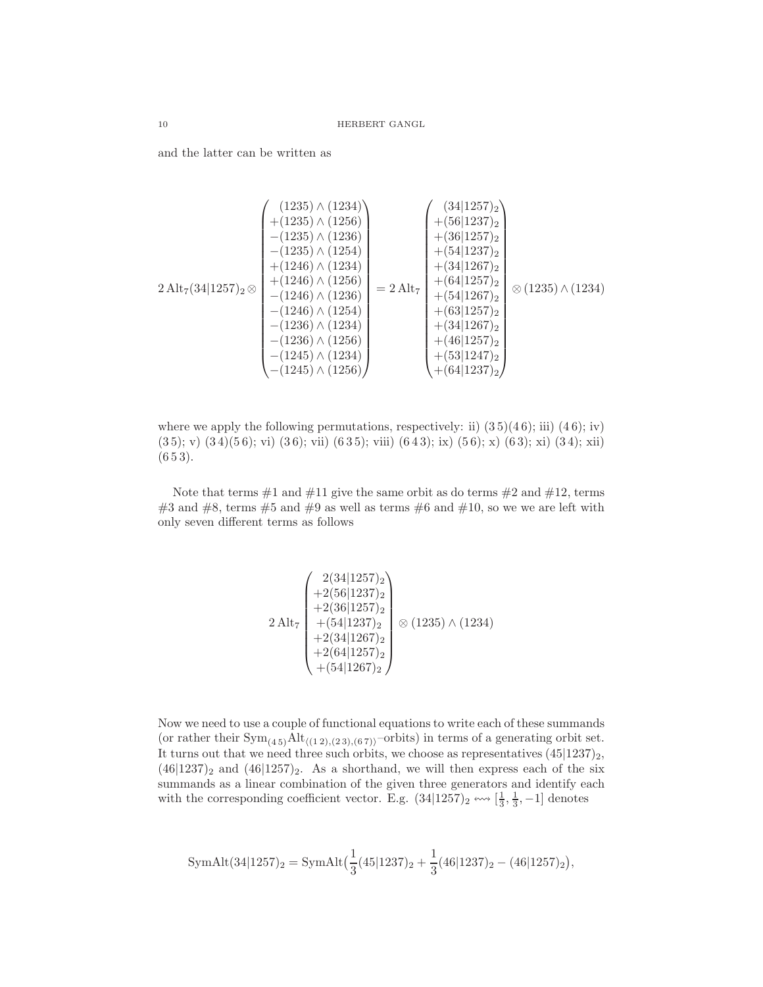and the latter can be written as

$$
2 \text{ Alt}_{7}(34|1257)_{2} \otimes\n \begin{pmatrix}\n (1235) \land (1234) \\
 + (1235) \land (1236) \\
 - (1235) \land (1234) \\
 + (1246) \land (1234) \\
 - (1246) \land (1254) \\
 - (1246) \land (1254) \\
 - (1236) \land (1234) \\
 - (1236) \land (1234) \\
 - (1236) \land (1234) \\
 - (1236) \land (1235) \\
 - (1236) \land (1234) \\
 - (1245) \land (1234) \\
 - (1245) \land (1234) \\
 - (1245) \land (1234) \\
 - (1245) \land (1234)\n \end{pmatrix}\n = 2 \text{ Alt}_{7}\n \begin{pmatrix}\n (34|1257)_2 \\
 + (56|1237)_2 \\
 + (34|1257)_2 \\
 + (54|1257)_2 \\
 + (54|1267)_2 \\
 + (34|1267)_2 \\
 + (34|1267)_2 \\
 + (34|1267)_2 \\
 + (34|1267)_2 \\
 + (34|1267)_2 \\
 + (34|1267)_2 \\
 + (34|1267)_2 \\
 + (34|1267)_2 \\
 + (34|1267)_2 \\
 + (34|1267)_2 \\
 + (34|1267)_2 \\
 + (34|1267)_2 \\
 + (34|1267)_2 \\
 + (34|1267)_2 \\
 + (34|1267)_2 \\
 + (34|1267)_2 \\
 + (34|1267)_2 \\
 + (34|1267)_2 \\
 + (34|1267)_2 \\
 + (34|1267)_2 \\
 + (34|1267)_2 \\
 + (34|1267)_2 \\
 + (34|1267)_2 \\
 + (34|1267)_2 \\
 + (34|1267)_2 \\
 + (34|1267)_2 \\
 + (34|1267)_2 \\
 + (34|1267)_2 \\
 + (34|1267)_2 \\
 + (34|1267)_2 \\
 + (34|1267)_2 \\
 + (34|1267)_2 \\
 + (34|1267)_2 \\
 + (34|1267)_
$$

where we apply the following permutations, respectively: ii)  $(35)(46)$ ; iii)  $(46)$ ; iv)  $(35); v)$   $(34)(56); vi)$   $(36); vi)$   $(635); viii)$   $(643); ix)$   $(56); x)$   $(63); xi)$   $(34); xii)$  $(653)$ .

Note that terms  $#1$  and  $#11$  give the same orbit as do terms  $#2$  and  $#12$ , terms #3 and #8, terms #5 and #9 as well as terms #6 and #10, so we we are left with only seven different terms as follows

$$
2 \text{ Alt}_{7} \begin{pmatrix} 2(34|1257)_{2} \\ +2(56|1237)_{2} \\ +2(36|1257)_{2} \\ +(54|1237)_{2} \\ +2(34|1267)_{2} \\ +2(64|1257)_{2} \\ +(54|1267)_{2} \end{pmatrix} \otimes (1235) \wedge (1234)
$$

Now we need to use a couple of functional equations to write each of these summands (or rather their  $Sym_{(4.5)}Alt_{\langle(1\,2),(2\,3),(6\,7)\rangle}$ -orbits) in terms of a generating orbit set. It turns out that we need three such orbits, we choose as representatives  $(45|1237)_2$ ,  $(46|1237)_2$  and  $(46|1257)_2$ . As a shorthand, we will then express each of the six summands as a linear combination of the given three generators and identify each with the corresponding coefficient vector. E.g.  $(34|1257)_2 \leftrightarrow \left[\frac{1}{3}, \frac{1}{3}, -1\right]$  denotes

$$
SymAlt(34|1257)_2 = SymAlt\left(\frac{1}{3}(45|1237)_2 + \frac{1}{3}(46|1237)_2 - (46|1257)_2\right),
$$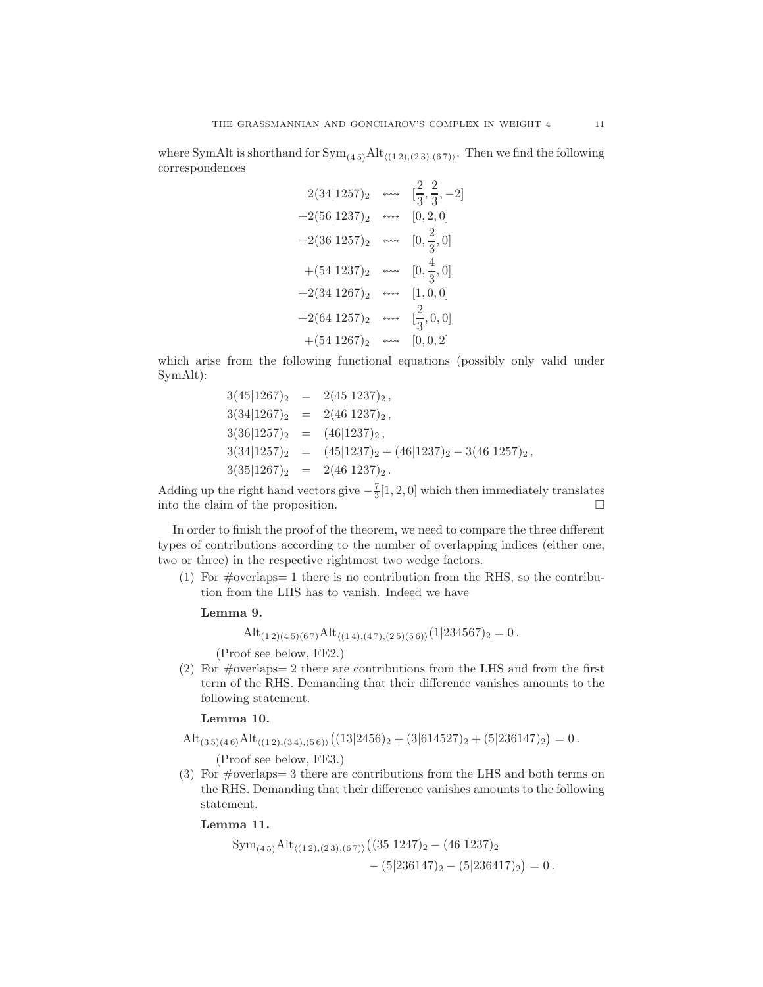where SymAlt is shorthand for  $Sym_{(4.5)}Alt_{\langle (1\,2),(2\,3),(6\,7)\rangle}$ . Then we find the following correspondences

| $2(34 1257)_2$  | ⇜                 | $\left[\frac{2}{3},\frac{2}{3},-2\right]$ |
|-----------------|-------------------|-------------------------------------------|
| $+2(56 1237)_2$ | ⇜                 | [0, 2, 0]                                 |
| $+2(36 1257)_2$ | $\leftrightarrow$ | $[0, \frac{2}{3}, 0]$                     |
| $+(54 1237)_2$  | $\leftrightarrow$ | $[0, \frac{4}{3}, 0]$                     |
| $+2(34 1267)_2$ | $\leftrightarrow$ | [1, 0, 0]                                 |
| $+2(64 1257)_2$ | ⇜                 | $[\frac{2}{3}, 0, 0]$                     |
| $+(54 1267)_2$  | ⇜                 | [0, 0, 2]                                 |

which arise from the following functional equations (possibly only valid under SymAlt):

$$
3(45|1267)_2 = 2(45|1237)_2,
$$
  
\n
$$
3(34|1267)_2 = 2(46|1237)_2,
$$
  
\n
$$
3(36|1257)_2 = (46|1237)_2,
$$
  
\n
$$
3(34|1257)_2 = (45|1237)_2 + (46|1237)_2 - 3(46|1257)_2,
$$
  
\n
$$
3(35|1267)_2 = 2(46|1237)_2.
$$

Adding up the right hand vectors give  $-\frac{7}{3}[1,2,0]$  which then immediately translates into the claim of the proposition.

In order to finish the proof of the theorem, we need to compare the three different types of contributions according to the number of overlapping indices (either one, two or three) in the respective rightmost two wedge factors.

(1) For  $\#$ overlaps = 1 there is no contribution from the RHS, so the contribution from the LHS has to vanish. Indeed we have

## Lemma 9.

$$
Alt_{(1\,2)(4\,5)(6\,7)} Alt_{\langle (1\,4),(4\,7),(2\,5)(5\,6)\rangle} (1|234567)_2 = 0.
$$

(Proof see below, FE2.)

(2) For  $\#$ overlaps = 2 there are contributions from the LHS and from the first term of the RHS. Demanding that their difference vanishes amounts to the following statement.

# Lemma 10.

 $\mathrm{Alt}_{(3\,5)(4\,6)}\mathrm{Alt}_{\langle(1\,2),(3\,4),(5\,6)\rangle}\big((13|2456)_2+(3|614527)_2+(5|236147)_2\big)=0\,.$ 

(Proof see below, FE3.)

(3) For  $\#overl{sups} = 3$  there are contributions from the LHS and both terms on the RHS. Demanding that their difference vanishes amounts to the following statement.

### Lemma 11.

$$
Sym_{(4\,5)} Alt_{\langle (1\,2),(2\,3),(6\,7)\rangle} ((35|1247)_2 - (46|1237)_2 - (5|236417)_2) = 0.
$$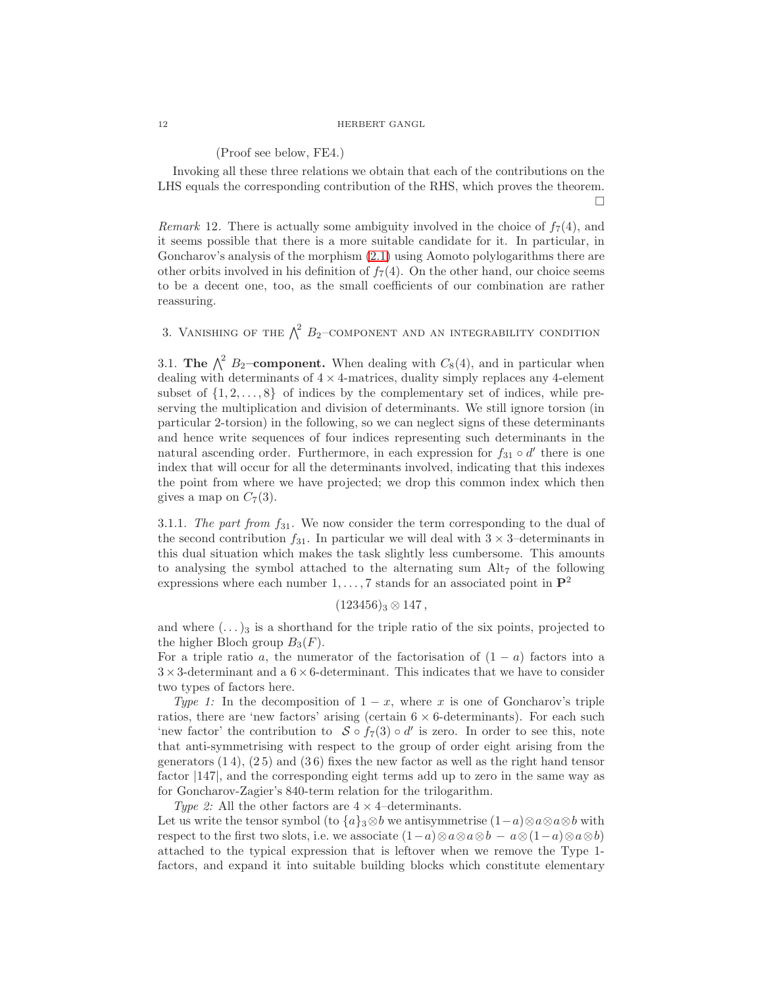(Proof see below, FE4.)

Invoking all these three relations we obtain that each of the contributions on the LHS equals the corresponding contribution of the RHS, which proves the theorem.  $\Box$ 

*Remark* 12. There is actually some ambiguity involved in the choice of  $f_7(4)$ , and it seems possible that there is a more suitable candidate for it. In particular, in Goncharov's analysis of the morphism [\(2.1\)](#page-2-0) using Aomoto polylogarithms there are other orbits involved in his definition of  $f_7(4)$ . On the other hand, our choice seems to be a decent one, too, as the small coefficients of our combination are rather reassuring.

<span id="page-11-0"></span>3. VANISHING OF THE  $\bigwedge^2 B_2$ -COMPONENT AND AN INTEGRABILITY CONDITION

3.1. The  $\bigwedge^2 B_2$ -component. When dealing with  $C_8(4)$ , and in particular when dealing with determinants of  $4 \times 4$ -matrices, duality simply replaces any 4-element subset of  $\{1, 2, \ldots, 8\}$  of indices by the complementary set of indices, while preserving the multiplication and division of determinants. We still ignore torsion (in particular 2-torsion) in the following, so we can neglect signs of these determinants and hence write sequences of four indices representing such determinants in the natural ascending order. Furthermore, in each expression for  $f_{31} \circ d'$  there is one index that will occur for all the determinants involved, indicating that this indexes the point from where we have projected; we drop this common index which then gives a map on  $C_7(3)$ .

3.1.1. The part from  $f_{31}$ . We now consider the term corresponding to the dual of the second contribution  $f_{31}$ . In particular we will deal with  $3 \times 3$ -determinants in this dual situation which makes the task slightly less cumbersome. This amounts to analysing the symbol attached to the alternating sum  $\text{Alt}_7$  of the following expressions where each number  $1, \ldots, 7$  stands for an associated point in  $\mathbb{P}^2$ 

$$
(123456)_3 \otimes 147,
$$

and where  $(\ldots)_3$  is a shorthand for the triple ratio of the six points, projected to the higher Bloch group  $B_3(F)$ .

For a triple ratio a, the numerator of the factorisation of  $(1 - a)$  factors into a  $3\times3$  -determinant and a  $6\times6$  -determinant. This indicates that we have to consider two types of factors here.

Type 1: In the decomposition of  $1 - x$ , where x is one of Goncharov's triple ratios, there are 'new factors' arising (certain  $6 \times 6$ -determinants). For each such 'new factor' the contribution to  $S \circ f_7(3) \circ d'$  is zero. In order to see this, note that anti-symmetrising with respect to the group of order eight arising from the generators  $(1\ 4)$ ,  $(2\ 5)$  and  $(3\ 6)$  fixes the new factor as well as the right hand tensor factor |147|, and the corresponding eight terms add up to zero in the same way as for Goncharov-Zagier's 840-term relation for the trilogarithm.

Type 2: All the other factors are  $4 \times 4$ –determinants.

Let us write the tensor symbol (to  ${a}$ <sub>3</sub>⊗b we antisymmetrise  $(1-a)$ ⊗a⊗a⊗b with respect to the first two slots, i.e. we associate  $(1-a)\otimes a\otimes a\otimes b - a\otimes (1-a)\otimes a\otimes b)$ attached to the typical expression that is leftover when we remove the Type 1 factors, and expand it into suitable building blocks which constitute elementary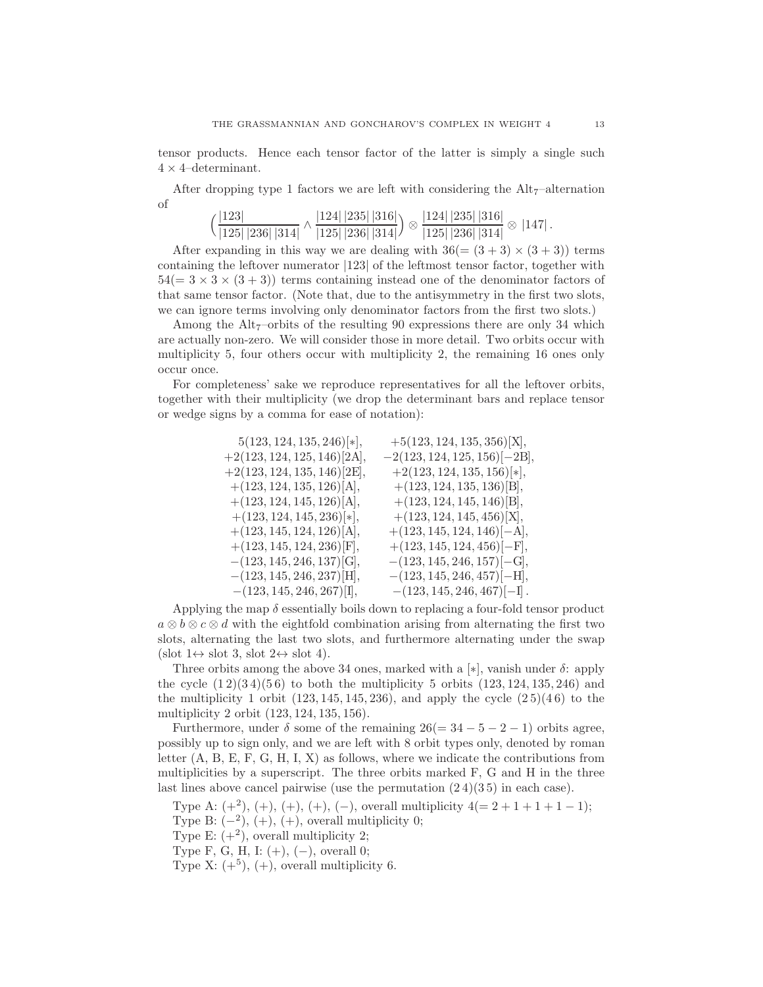tensor products. Hence each tensor factor of the latter is simply a single such  $4 \times 4$ –determinant.

After dropping type 1 factors we are left with considering the  $\text{Alt}_7$ –alternation of

$$
\left(\frac{|123|}{|125| |236| |314|} \wedge \frac{|124| |235| |316|}{|125| |236| |314|}\right) \otimes \frac{|124| |235| |316|}{|125| |236| |314|} \otimes |147|.
$$

After expanding in this way we are dealing with  $36(=(3+3) \times (3+3))$  terms containing the leftover numerator |123| of the leftmost tensor factor, together with  $54(= 3 \times 3 \times (3 + 3))$  terms containing instead one of the denominator factors of that same tensor factor. (Note that, due to the antisymmetry in the first two slots, we can ignore terms involving only denominator factors from the first two slots.)

Among the  $\text{Alt}_7$ –orbits of the resulting 90 expressions there are only 34 which are actually non-zero. We will consider those in more detail. Two orbits occur with multiplicity 5, four others occur with multiplicity 2, the remaining 16 ones only occur once.

For completeness' sake we reproduce representatives for all the leftover orbits, together with their multiplicity (we drop the determinant bars and replace tensor or wedge signs by a comma for ease of notation):

| $5(123, 124, 135, 246)\times$ | $+5(123, 124, 135, 356)$ [X],       |
|-------------------------------|-------------------------------------|
| $+2(123, 124, 125, 146)[2A],$ | $-2(123, 124, 125, 156)$ [ $-2B$ ], |
| $+2(123, 124, 135, 146)[2E],$ | $+2(123, 124, 135, 156)\times$      |
| $+(123, 124, 135, 126)$ [A],  | $+(123, 124, 135, 136)$ [B],        |
| $+(123, 124, 145, 126)$ [A],  | $+(123, 124, 145, 146)$ [B],        |
| $+(123, 124, 145, 236)\times$ | $+(123, 124, 145, 456)$ [X],        |
| $+(123, 145, 124, 126)$ [A],  | $+(123, 145, 124, 146)$ [-A],       |
| $+(123, 145, 124, 236)$ [F],  | $+(123, 145, 124, 456)$ [-F],       |
| $-(123, 145, 246, 137)$ [G],  | $-(123, 145, 246, 157)$ [-G],       |
| $-(123, 145, 246, 237)$ [H],  | $-(123, 145, 246, 457)$ [-H],       |
| $-(123, 145, 246, 267)[1],$   | $-(123, 145, 246, 467)[-1].$        |

Applying the map  $\delta$  essentially boils down to replacing a four-fold tensor product  $a \otimes b \otimes c \otimes d$  with the eightfold combination arising from alternating the first two slots, alternating the last two slots, and furthermore alternating under the swap  $(\mathrm{slot}\ 1\leftrightarrow \mathrm{slot}\ 3, \mathrm{slot}\ 2\leftrightarrow \mathrm{slot}\ 4).$ 

Three orbits among the above 34 ones, marked with a [ $\ast$ ], vanish under  $\delta$ : apply the cycle  $(1\,2)(3\,4)(5\,6)$  to both the multiplicity 5 orbits  $(123, 124, 135, 246)$  and the multiplicity 1 orbit  $(123, 145, 145, 236)$ , and apply the cycle  $(25)(46)$  to the multiplicity 2 orbit (123, 124, 135, 156).

Furthermore, under  $\delta$  some of the remaining  $26(=34-5-2-1)$  orbits agree, possibly up to sign only, and we are left with 8 orbit types only, denoted by roman letter  $(A, B, E, F, G, H, I, X)$  as follows, where we indicate the contributions from multiplicities by a superscript. The three orbits marked F, G and H in the three last lines above cancel pairwise (use the permutation  $(2.4)(3.5)$  in each case).

Type A:  $(+^2)$ ,  $(+)$ ,  $(+)$ ,  $(+)$ ,  $(-)$ , overall multiplicity  $4(= 2 + 1 + 1 + 1 - 1);$ Type B:  $(-2)$ ,  $(+)$ ,  $(+)$ , overall multiplicity 0;

Type E:  $(+^2)$ , overall multiplicity 2;

Type F, G, H, I:  $(+)$ ,  $(-)$ , overall 0;

Type X:  $(+^5)$ ,  $(+)$ , overall multiplicity 6.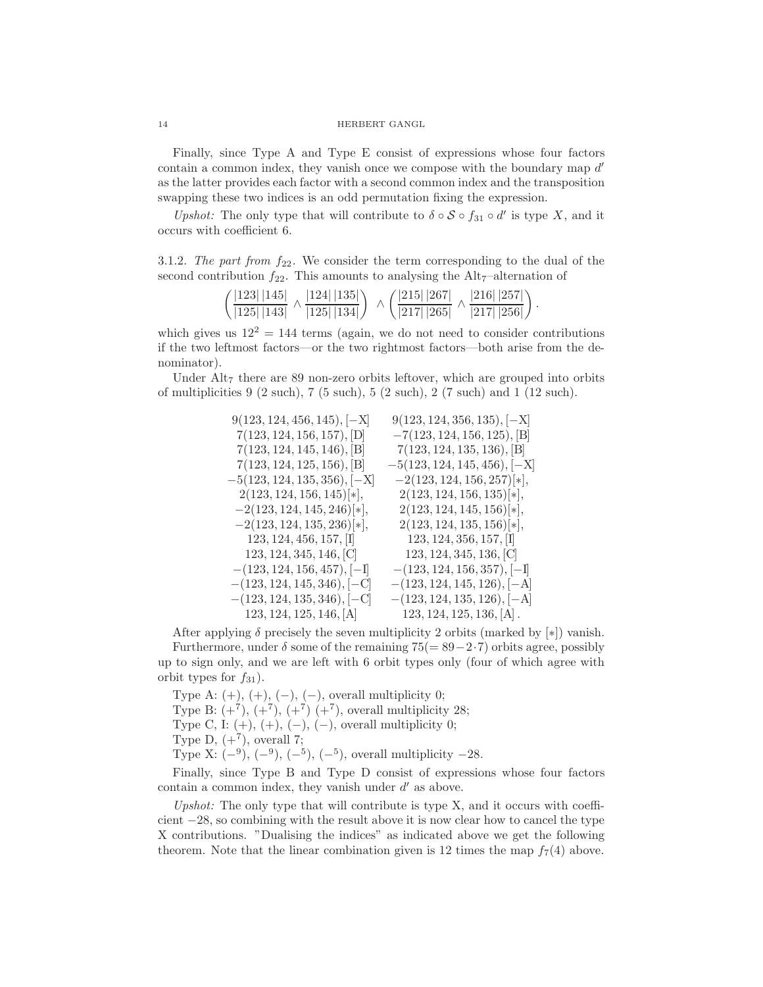Finally, since Type A and Type E consist of expressions whose four factors contain a common index, they vanish once we compose with the boundary map  $d'$ as the latter provides each factor with a second common index and the transposition swapping these two indices is an odd permutation fixing the expression.

Upshot: The only type that will contribute to  $\delta \circ S \circ f_{31} \circ d'$  is type X, and it occurs with coefficient 6.

3.1.2. The part from  $f_{22}$ . We consider the term corresponding to the dual of the second contribution  $f_{22}$ . This amounts to analysing the Alt<sub>7</sub>–alternation of

| $($ $ 123 $ $ 145 $ | 124   135 | $'$  215   267   | 216   257 |
|---------------------|-----------|------------------|-----------|
| \  125   143        | 125   134 | $\sqrt{217/265}$ | 217   256 |

.

which gives us  $12^2 = 144$  terms (again, we do not need to consider contributions if the two leftmost factors—or the two rightmost factors—both arise from the denominator).

Under  $\text{Alt}_7$  there are 89 non-zero orbits leftover, which are grouped into orbits of multiplicities 9 (2 such), 7 (5 such), 5 (2 such), 2 (7 such) and 1 (12 such).

| $9(123, 124, 456, 145), [-X]$  | $9(123, 124, 356, 135), [-X]$   |
|--------------------------------|---------------------------------|
| 7(123, 124, 156, 157), [D]     | $-7(123, 124, 156, 125),$ [B]   |
| 7(123, 124, 145, 146), [B]     | 7(123, 124, 135, 136), [B]      |
| 7(123, 124, 125, 156), [B]     | $-5(123, 124, 145, 456), [-X]$  |
| $-5(123, 124, 135, 356), [-X]$ | $-2(123, 124, 156, 257)\times$  |
| $2(123, 124, 156, 145)\times$  | $2(123, 124, 156, 135)\times$   |
| $-2(123, 124, 145, 246)\times$ | $2(123, 124, 145, 156)\times$ , |
| $-2(123, 124, 135, 236)\times$ | $2(123, 124, 135, 156)\times$   |
| 123, 124, 456, 157,            | $123, 124, 356, 157,$ [I]       |
| 123, 124, 345, 146, [C]        | 123, 124, 345, 136, [C]         |
| $-(123, 124, 156, 457), [-1]$  | $-(123, 124, 156, 357),$ $[-1]$ |
| $-(123, 124, 145, 346), [-C]$  | $-(123, 124, 145, 126), [-A]$   |
| $-(123, 124, 135, 346), [-C]$  | $-(123, 124, 135, 126),$ $[-A]$ |
| 123, 124, 125, 146, [A]        | $123, 124, 125, 136, [A]$ .     |

After applying  $\delta$  precisely the seven multiplicity 2 orbits (marked by [\*]) vanish. Furthermore, under  $\delta$  some of the remaining 75(= 89−2·7) orbits agree, possibly up to sign only, and we are left with 6 orbit types only (four of which agree with orbit types for  $f_{31}$ ).

Type A:  $(+)$ ,  $(+)$ ,  $(-)$ ,  $(-)$ , overall multiplicity 0; Type B:  $(+^7)$ ,  $(+^7)$ ,  $(+^7)$   $(+^7)$ , overall multiplicity 28; Type C, I:  $(+)$ ,  $(+)$ ,  $(-)$ ,  $(-)$ , overall multiplicity 0; Type D,  $(+^7)$ , overall 7; Type X:  $(-9)$ ,  $(-9)$ ,  $(-5)$ ,  $(-5)$ , overall multiplicity  $-28$ .

Finally, since Type B and Type D consist of expressions whose four factors contain a common index, they vanish under  $d'$  as above.

Upshot: The only type that will contribute is type  $X$ , and it occurs with coefficient −28, so combining with the result above it is now clear how to cancel the type X contributions. "Dualising the indices" as indicated above we get the following theorem. Note that the linear combination given is 12 times the map  $f_7(4)$  above.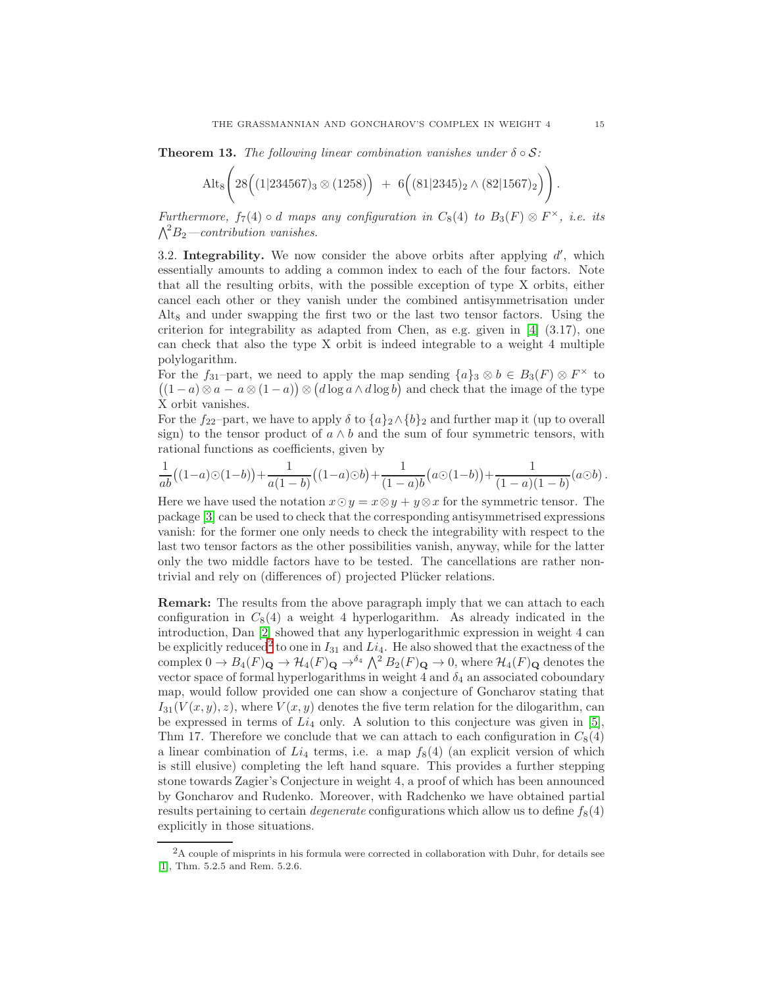**Theorem 13.** The following linear combination vanishes under  $\delta \circ S$ :

$$
Alt_8\bigg(28\Big((1|234567)_3\otimes(1258)\Big) + 6\Big((81|2345)_2\wedge(82|1567)_2\Big)\bigg).
$$

Furthermore,  $f_7(4) \circ d$  maps any configuration in  $C_8(4)$  to  $B_3(F) \otimes F^{\times}$ , i.e. its  $\Lambda^2 B_2$ —contribution vanishes.

3.2. Integrability. We now consider the above orbits after applying  $d'$ , which essentially amounts to adding a common index to each of the four factors. Note that all the resulting orbits, with the possible exception of type X orbits, either cancel each other or they vanish under the combined antisymmetrisation under Alt<sub>8</sub> and under swapping the first two or the last two tensor factors. Using the criterion for integrability as adapted from Chen, as e.g. given in [\[4\]](#page-17-5) (3.17), one can check that also the type X orbit is indeed integrable to a weight 4 multiple polylogarithm.

For the  $f_{31}$ -part, we need to apply the map sending  $\{a\}_3 \otimes b \in B_3(F) \otimes F^\times$  to  $((1-a)\otimes a - a\otimes (1-a)) \otimes (d \log a \wedge d \log b)$  and check that the image of the type X orbit vanishes.

For the f<sub>22</sub>-part, we have to apply  $\delta$  to  $\{a\}_2 \wedge \{b\}_2$  and further map it (up to overall sign) to the tensor product of  $a \wedge b$  and the sum of four symmetric tensors, with rational functions as coefficients, given by

$$
\frac{1}{ab}((1-a)\odot(1-b))+\frac{1}{a(1-b)}((1-a)\odot b)+\frac{1}{(1-a)b}(a\odot(1-b))+\frac{1}{(1-a)(1-b)}(a\odot b).
$$

Here we have used the notation  $x \odot y = x \otimes y + y \otimes x$  for the symmetric tensor. The package [\[3\]](#page-17-6) can be used to check that the corresponding antisymmetrised expressions vanish: for the former one only needs to check the integrability with respect to the last two tensor factors as the other possibilities vanish, anyway, while for the latter only the two middle factors have to be tested. The cancellations are rather nontrivial and rely on (differences of) projected Plücker relations.

Remark: The results from the above paragraph imply that we can attach to each configuration in  $C_8(4)$  a weight 4 hyperlogarithm. As already indicated in the introduction, Dan [\[2\]](#page-17-3) showed that any hyperlogarithmic expression in weight 4 can be explicitly reduced<sup>[2](#page-14-0)</sup> to one in  $I_{31}$  and  $Li_4$ . He also showed that the exactness of the complex  $0 \to B_4(F)_{\mathbf{Q}} \to H_4(F)_{\mathbf{Q}} \to^{\delta_4} {\bigwedge}^2 B_2(F)_{\mathbf{Q}} \to 0$ , where  $\mathcal{H}_4(F)_{\mathbf{Q}}$  denotes the vector space of formal hyperlogarithms in weight 4 and  $\delta_4$  an associated coboundary map, would follow provided one can show a conjecture of Goncharov stating that  $I_{31}(V(x, y), z)$ , where  $V(x, y)$  denotes the five term relation for the dilogarithm, can be expressed in terms of  $Li_4$  only. A solution to this conjecture was given in [\[5\]](#page-17-4), Thm 17. Therefore we conclude that we can attach to each configuration in  $C_8(4)$ a linear combination of  $Li_4$  terms, i.e. a map  $f_8(4)$  (an explicit version of which is still elusive) completing the left hand square. This provides a further stepping stone towards Zagier's Conjecture in weight 4, a proof of which has been announced by Goncharov and Rudenko. Moreover, with Radchenko we have obtained partial results pertaining to certain *degenerate* configurations which allow us to define  $f_8(4)$ explicitly in those situations.

<span id="page-14-0"></span> ${}^{2}$ A couple of misprints in his formula were corrected in collaboration with Duhr, for details see [\[1\]](#page-17-7), Thm. 5.2.5 and Rem. 5.2.6.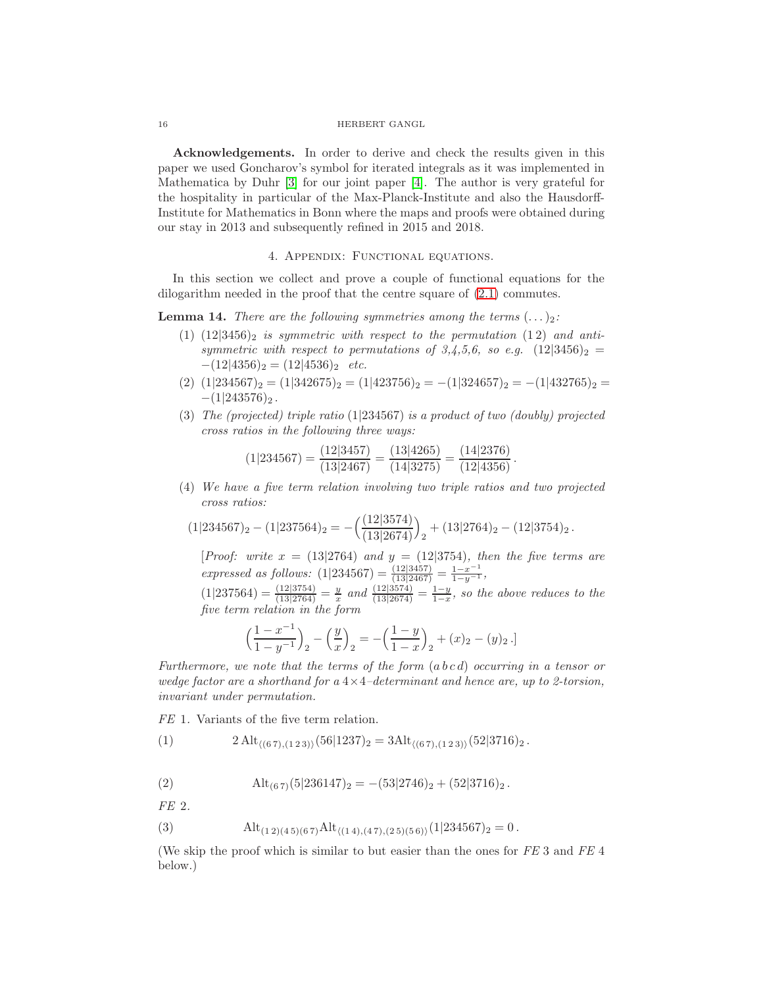Acknowledgements. In order to derive and check the results given in this paper we used Goncharov's symbol for iterated integrals as it was implemented in Mathematica by Duhr [\[3\]](#page-17-6) for our joint paper [\[4\]](#page-17-5). The author is very grateful for the hospitality in particular of the Max-Planck-Institute and also the Hausdorff-Institute for Mathematics in Bonn where the maps and proofs were obtained during our stay in 2013 and subsequently refined in 2015 and 2018.

## 4. Appendix: Functional equations.

In this section we collect and prove a couple of functional equations for the dilogarithm needed in the proof that the centre square of [\(2.1\)](#page-2-0) commutes.

<span id="page-15-4"></span><span id="page-15-1"></span>**Lemma 14.** There are the following symmetries among the terms  $(\ldots)_2$ :

- (1)  $(12|3456)_2$  is symmetric with respect to the permutation (12) and antisymmetric with respect to permutations of 3,4,5,6, so e.g.  $(12|3456)_2$  =  $-(12|4356)_2 = (12|4536)_2$  etc.
- <span id="page-15-2"></span>(2)  $(1|234567)_2 = (1|342675)_2 = (1|423756)_2 = -(1|324657)_2 = -(1|432765)_2 =$  $-(1|243576)_2$ .
- (3) The (projected) triple ratio (1|234567) is a product of two (doubly) projected cross ratios in the following three ways:

$$
(1|234567) = \frac{(12|3457)}{(13|2467)} = \frac{(13|4265)}{(14|3275)} = \frac{(14|2376)}{(12|4356)}.
$$

<span id="page-15-3"></span>(4) We have a five term relation involving two triple ratios and two projected cross ratios:

$$
(1|234567)_2 - (1|237564)_2 = -\left(\frac{(12|3574)}{(13|2674)}\right)_2 + (13|2764)_2 - (12|3754)_2.
$$

[Proof: write  $x = (13|2764)$  and  $y = (12|3754)$ , then the five terms are expressed as follows:  $(1|234567) = \frac{(12|3457)}{(13|2467)} = \frac{1-x^{-1}}{1-y^{-1}}$ ,

 $(1|237564) = \frac{(12|3754)}{(13|2764)} = \frac{y}{x}$  and  $\frac{(12|3574)}{(13|2674)} = \frac{1-y}{1-x}$ , so the above reduces to the five term relation in the form

$$
\left(\frac{1-x^{-1}}{1-y^{-1}}\right)_2 - \left(\frac{y}{x}\right)_2 = -\left(\frac{1-y}{1-x}\right)_2 + (x)_2 - (y)_2.
$$

Furthermore, we note that the terms of the form  $(abcd)$  occurring in a tensor or wedge factor are a shorthand for  $a 4 \times 4$ -determinant and hence are, up to 2-torsion, invariant under permutation.

FE 1. Variants of the five term relation.

<span id="page-15-6"></span>(1) 
$$
2 \text{ Alt}_{\langle (67),(123)\rangle}(56|1237)_2 = 3 \text{Alt}_{\langle (67),(123)\rangle}(52|3716)_2.
$$

<span id="page-15-5"></span>(2) 
$$
\mathrm{Alt}_{(67)}(5|236147)_2 = -(53|2746)_2 + (52|3716)_2.
$$

FE 2.

<span id="page-15-0"></span>(3) 
$$
\text{Alt}_{(1\,2)(4\,5)(6\,7)}\text{Alt}_{\langle (1\,4),(4\,7),(2\,5)(5\,6)\rangle}(1|234567)_2 = 0.
$$

(We skip the proof which is similar to but easier than the ones for FE 3 and FE 4 below.)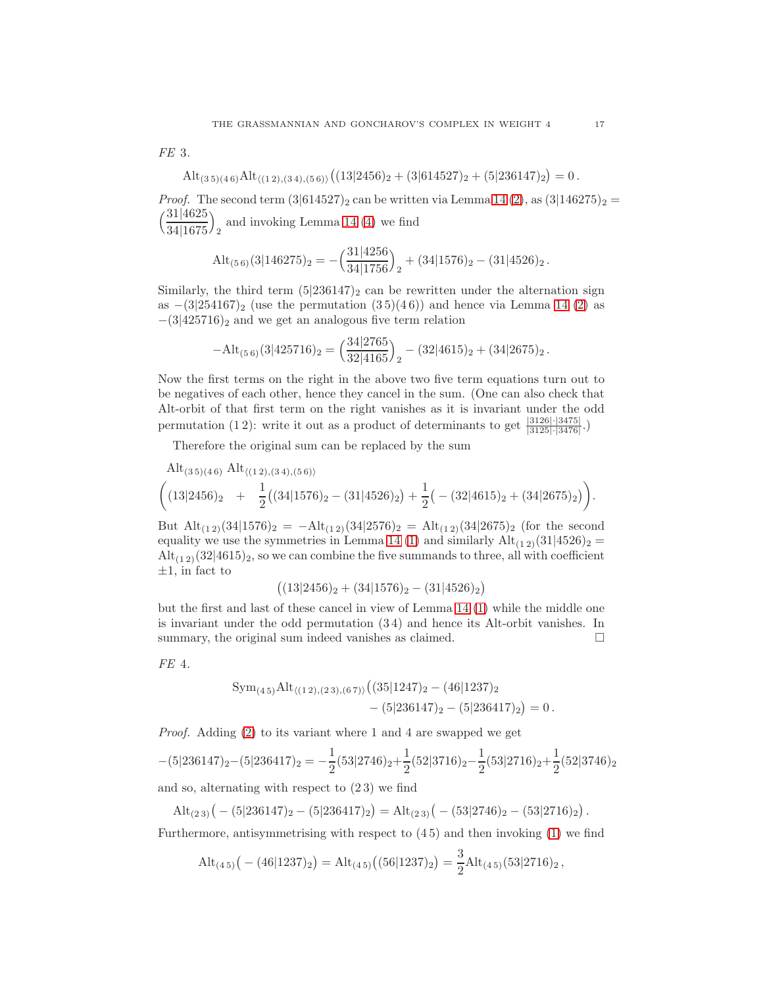FE 3.

$$
Alt_{(3\,5)(4\,6)} Alt_{\langle (1\,2),(3\,4),(5\,6)\rangle} \left( (13|2456)_2 + (3|614527)_2 + (5|236147)_2 \right) = 0.
$$

*Proof.* The second term  $(3|614527)_2$  can be written via Lemma [14](#page-15-1)  $(2)$ , as  $(3|146275)_2$  =  $\frac{31|4625}{ }$ 34|1675  $\setminus$ 2 and invoking Lemma [14](#page-15-1) [\(4\)](#page-15-3) we find

$$
\mathrm{Alt}_{(5\,6)}(3|146275)_2 = -\left(\frac{31|4256}{34|1756}\right)_2 + (34|1576)_2 - (31|4526)_2.
$$

Similarly, the third term  $(5|236147)_2$  can be rewritten under the alternation sign as  $-(3|254167)_2$  (use the permutation  $(35)(46)$ ) and hence via Lemma [14](#page-15-1) [\(2\)](#page-15-2) as  $-(3|425716)_2$  and we get an analogous five term relation

$$
-\mathrm{Alt}_{(5\,6)}(3|425716)_2 = \left(\frac{34|2765}{32|4165}\right)_2 - (32|4615)_2 + (34|2675)_2.
$$

Now the first terms on the right in the above two five term equations turn out to be negatives of each other, hence they cancel in the sum. (One can also check that Alt-orbit of that first term on the right vanishes as it is invariant under the odd permutation (12): write it out as a product of determinants to get  $\frac{|3126| \cdot |3475|}{|3125| \cdot |3476|}$ .

Therefore the original sum can be replaced by the sum

$$
\text{Alt}_{(3\,5)(4\,6)} \text{Alt}_{\langle (1\,2),(3\,4),(5\,6)\rangle} \n\left( (13|2456)_2 + \frac{1}{2} \left( (34|1576)_2 - (31|4526)_2 \right) + \frac{1}{2} \left( -\left( 32|4615 \right)_2 + (34|2675)_2 \right) \right).
$$

But  $\text{Alt}_{(1\ 2)}(34|1576)_2 = -\text{Alt}_{(1\ 2)}(34|2576)_2 = \text{Alt}_{(1\ 2)}(34|2675)_2$  (for the second equality we use the symmetries in Lemma [14](#page-15-1) [\(1\)](#page-15-4) and similarly  $\text{Alt}_{(1\,2)}(31|4526)_2 =$  $\text{Alt}_{(1,2)}(32|4615)_2$ , so we can combine the five summands to three, all with coefficient  $\pm 1$ , in fact to

$$
((13|2456)2 + (34|1576)2 - (31|4526)2)
$$

but the first and last of these cancel in view of Lemma [14](#page-15-1) [\(1\)](#page-15-4) while the middle one is invariant under the odd permutation (3 4) and hence its Alt-orbit vanishes. In summary, the original sum indeed vanishes as claimed.  $\square$ 

FE 4.

$$
Sym_{(4\,5)} Alt_{\langle (1\,2),(2\,3),(6\,7)\rangle} ((35|1247)_2 - (46|1237)_2 - (5|236417)_2) = 0.
$$

Proof. Adding [\(2\)](#page-15-5) to its variant where 1 and 4 are swapped we get

$$
-(5|236147)_2 - (5|236417)_2 = -\frac{1}{2}(53|2746)_2 + \frac{1}{2}(52|3716)_2 - \frac{1}{2}(53|2716)_2 + \frac{1}{2}(52|3746)_2
$$

and so, alternating with respect to (2 3) we find

$$
Alt_{(23)} (-(5|236147)_2 - (5|236417)_2) = Alt_{(23)} (-(53|2746)_2 - (53|2716)_2).
$$

Furthermore, antisymmetrising with respect to  $(45)$  and then invoking  $(1)$  we find

$$
\mathrm{Alt}_{(4\,5)}\big(-\left(46|1237\right)_2\big) = \mathrm{Alt}_{(4\,5)}\big((56|1237)_2\big) = \frac{3}{2}\mathrm{Alt}_{(4\,5)}(53|2716)_2\,,
$$